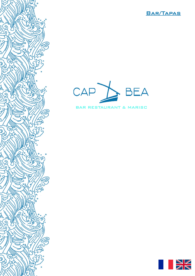



5

9

ج

og

S

డె

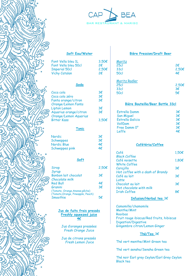



 $3,50<sub>\epsilon</sub>$ 

 $2,50€$ 

#### **Soft Eau/Water**

| 3,5 |
|-----|
| 2€  |
| 2.5 |
| 2€  |
|     |
|     |

#### **Soda**

| Coca cola              | 3€           |
|------------------------|--------------|
| Coca cola zéro         | 3€           |
| Fanta orange/citron    | 3€           |
| Orange/Lemon Fanta     |              |
| Lipton Lemon           | 3€           |
| Aquarius orange/citron | $3 \epsilon$ |
| Orange/Lemon Aquarius  |              |
| <b>Bitter Kass</b>     | 3.50€        |
|                        |              |

#### **Tonic**

| 3€ |
|----|
| 3€ |
| 4€ |
| 4€ |
|    |

#### **Soft**

| Sirop                              | 2,50€ |
|------------------------------------|-------|
| Syrup                              |       |
| Bonbon lait chocolat               | 3€    |
| Chocolate milk                     |       |
| <b>Red Bull</b>                    | 4€    |
| Granini                            | 3€    |
| (Tomate, Orange, Ananas, pêche)    |       |
| (Tomato, Orange, Pineapple, Peach) |       |
| Smoothie                           |       |

#### **Jus de fuits frais pressés Freshly squeezed juice 4€**

Jus d'oranges pressées *Fresh Orange Juice*

Jus de citrons pressés *Fresh Lemon Juice*

### **Bière Pression/Draft Beer**

| Moritz      |                 |
|-------------|-----------------|
| 25c         | 2€              |
| <b>33cl</b> | $2,50 \epsilon$ |
| <b>50cl</b> | 4€              |

| Moritz Radler    |       |
|------------------|-------|
| 25c              | 2,50€ |
| 33 <sub>cl</sub> | 3€    |
| 50cl             | 5€    |

## **Bière Bouteille/Beer Bottle 33cl**

| <b>Estrella Damm</b> | 3€           |
|----------------------|--------------|
| <b>San Miguel</b>    | $3 \epsilon$ |
| Estrella Galicia     | 3€           |
| VollDam              | $3 \epsilon$ |
| Free Damm 0°         | $3 \epsilon$ |
| Leffe                |              |

## **Cafétéria/Coffee**

| Café<br><b>Black Coffee</b>                      | 1.50€ |
|--------------------------------------------------|-------|
| Café noisette                                    | 1,80€ |
| White Coffee<br>Carajillo                        | 3€    |
| Hot coffee with a dash of Brandy<br>Café au lait | 3€    |
| Latte<br>Chocolat au lait                        | 3€    |
| Hot chocolate with milk<br><b>Trish Coffee</b>   | R€    |

## **Infusion/Herbal tea** 3€

Camomille/chamomile Menthe/Mint Rooibos Fruit rouge ibiscus/Red fruits, hibiscus Digestion/Digestive Gingembre citron/Lemon Ginger

# **Thé/Tea** 3€

Thé vert menthe/Mint Green tea

Thé vert sensha/Sensha Green tea

Thé noir Earl grey Ceylan/Earl Grey Ceylon Black tea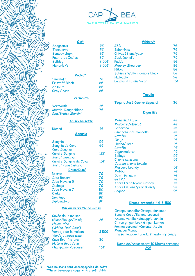



| $Gin^*$<br>Seagram's       | 7€              | Whisky*<br>J&B                        | 7€  |
|----------------------------|-----------------|---------------------------------------|-----|
| Tangueray                  | 7€              | <b>Balantines</b>                     | 7€  |
| <b>Bombay Saphir</b>       | 8€              | Chivas 12 ans/year                    | 7€  |
| Puerto de Indias           | 8€              | <b>Jack Daniel's</b>                  | 7€  |
|                            |                 |                                       |     |
| <b>Bulldog</b>             | $9,50 \epsilon$ | Paddy                                 | 8€  |
| Hendrick's                 | 9,50 $\epsilon$ | <b>Monkey Shoulder</b>                | 8€  |
|                            |                 | Nikka                                 | 8€  |
| Vodka*                     |                 | Johnnie Walker double black           | 8€  |
| Smirnoff                   | 7€              | Hatozaki                              | 9€  |
| <b>Eristoff Black</b>      | 8€              | Lagavulin 16 ans/year                 | 15€ |
| Absolut                    | 8€              |                                       |     |
| Grey Goose                 | 8€              |                                       |     |
|                            |                 | Tequila                               |     |
| Vermouth                   |                 |                                       |     |
|                            |                 | Tequila José Cuervo Especial          | 3€  |
| Vermouth                   | 3€              |                                       |     |
| <b>Martini Rouge/Blanc</b> | 7€              |                                       |     |
| Red/White Martini          |                 | <b>Digestifs</b>                      |     |
| <b>Anisé/Anisette</b>      |                 | Manzana/Apple                         | 4€  |
|                            |                 | Moscatel/Muscat                       | 4€  |
| Ricard                     | 4€              | Soberano                              | 4€  |
| Sangria                    |                 | Limonchelo/Limoncello                 | 4€  |
|                            |                 | Ratafia                               | 4€  |
|                            | 5€              | Orujo                                 | 4€  |
| Sangria<br>Sangria de Cava | 6€              | Herba/Herb                            | 4€  |
|                            |                 | Ratafia                               | 4€  |
| Cava Sangria               | 12€             | Jägermeister                          | 4€  |
| Carafe Sangria             |                 | <b>Baileys</b>                        | 5€  |
| Jar of Sangria             |                 | Crème catalane                        | 5€  |
| Carafe Sangria de Cava     | 15€             | Catalan crème brulée                  |     |
| Jar of Cava Sangria        |                 | Mascaro brandy                        | 5€  |
| Rhum/Rum*                  |                 | <b>Malibu</b>                         | 7€  |
| <b>Botran</b>              | 7€              | Saint Germain                         | 7€  |
| Cuba Bacardi               | 7€              | Get 27                                | 7€  |
| Cuba Havana 5              | 7€              | Torres 5 ans/year Brandy              | 7€  |
| Cachaça                    | 7€              | Torres 10 ans/year Brandy             | 9€  |
| Cuba Havana 7              | 8€              | Cognac                                | 9€  |
| Kraken                     | 8€              |                                       |     |
| Don Papa                   | 9€              |                                       |     |
| Diplomatico                | 9€              | Rhums arrangés 4cl 3.50€              |     |
| Vin au verre/Wine Glass    |                 |                                       |     |
|                            |                 | Orange cannelle/Orange cinnamon       |     |
| Cuvée de la maison         |                 | Banane Coco / Banana coconut          |     |
| (Blanc/Rouge/Rosé)         | 2€              | Ananas vanille /pineapple vanilla     |     |
| House wine                 |                 | Citron gingembre/ Ginger Lemon        |     |
| (White, Red, Rosé)         |                 | Pomme caramel / Caramel Apple         |     |
| Verdejo de la maison       | 2,50€           | Mangue/Mango                          |     |
| Verdejo house wine         |                 | Fraise Tagada/Tagada strawberry candy |     |
| <b>Cava Brut Nature</b>    | 3€              |                                       |     |
| Nature Brut Cava           |                 | Rame de/Assortment 10 Rhums arrangés  |     |
|                            |                 |                                       |     |

29€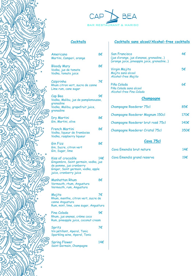



**Cocktails sans alcool/Alcohol-free cocktails**

# **Cocktails**

| Americano<br>Martini, Campari, orange                                                                                                                 | 8€           | <b>San Francisco</b><br>(jus d'orange, jus d'ananas, grenadine)<br>(orange juice, pineapple juice, grenadine) | 4€            |
|-------------------------------------------------------------------------------------------------------------------------------------------------------|--------------|---------------------------------------------------------------------------------------------------------------|---------------|
| <b>Bloody Mary</b><br>Vodka, jus de tomate<br>Vodka, tomato juice                                                                                     | 8€           | Virgin Mojito<br>Mojito sans alcool<br>Alcohol-free Mojito                                                    | 5€            |
| Caipirinha<br>Rhum citron vert, sucre de canne<br>Lime rum, cane sugar                                                                                | 7€           | Piña Colada<br>Piña Colada sans alcool<br>Alcohol-free Pina Colada                                            | 6€            |
| Cap Bea<br>Vodka, Malibu, jus de pamplemousse,                                                                                                        | 9€           | <u>Champagne</u>                                                                                              |               |
| grenadine<br>Vodka, Malibu, grapefruit juice,<br>grenadine                                                                                            |              | <b>Champagne Roederer 75cl</b>                                                                                | 85€           |
| Dry Martini                                                                                                                                           | 8€           | Champagne Roederer Magnum 150cl                                                                               | 170€          |
| Gin, Martini, olive                                                                                                                                   |              | Champagne Roederer brut rosé 75cl                                                                             | 140€          |
| <b>French Martini</b><br>Vodka, liqueur de framboise<br>Vodka, raspberry liqueur                                                                      | 8€           | Champagne Roederer Cristal 75cl                                                                               | 350€          |
| <b>Gin Fizz</b>                                                                                                                                       | 8€           | Cava 75cl                                                                                                     |               |
| Gin, Sucre, citron vert<br>Gin, Sugar, lime                                                                                                           |              | Cava Emendis brut nature                                                                                      | 14 $\epsilon$ |
| Kiss of crocodile<br>Gingembre, Saint germain, vodka, jus<br>de pomme, jus cranberry<br>Ginger, Saint germain, vodka, apple<br>juice, cranberry juice | $14\epsilon$ | Cava Emendis grand reserva                                                                                    | 19€           |
| <b>Manhattan Rhum</b><br>Vermouth, rhum, Angustura<br>Vermouth, rum, Angustura                                                                        | 8€           |                                                                                                               |               |
| Mojito<br>Rhum, menthe, citron vert, sucre de<br>canne Angustura<br>Rum, mint, lime, cane sugar, Angustura                                            | 7€           |                                                                                                               |               |
| Pina Colada<br>Rhum, jus ananas, crème coco<br>Rum, pineapple juice, coconut cream                                                                    | 9€           |                                                                                                               |               |
| Spritz<br>Vin pétillant, Aperol, Tonic<br>Sparkling wine, Aperol, Tonic                                                                               | 7€           |                                                                                                               |               |
| <b>Spring Flower</b>                                                                                                                                  | 14€          |                                                                                                               |               |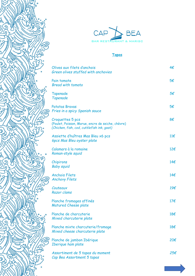

Э

╗

Ğ



# **Tapas**

| Olives aux filets d'anchois<br>Green olives stuffed with anchovies                                                  | 4€           |
|---------------------------------------------------------------------------------------------------------------------|--------------|
| Pain tomate<br><b>Bread with tomato</b>                                                                             | 5€           |
| Tapenade<br>Tapenade                                                                                                | 5€           |
| <b>Patatas Bravas</b><br>Fries in a spicy Spanish sauce                                                             | 5€           |
| Croquettes 5 pcs<br>(Poulet, Poisson, Morue, encre de seiche, chèvre)<br>(Chicken, fish, cod, cuttlefish ink, goat) | 8€           |
| Assiette d'huîtres Mas Bleu x6 pcs<br>6pcs Mas Bleu oyster plate                                                    | $11\epsilon$ |
| Calamars à la romaine<br>Roman-style squid                                                                          | 12€          |
| Chipirons<br><b>Baby squid</b>                                                                                      | 14€          |
| <b>Anchois Filets</b><br><b>Anchovy Filets</b>                                                                      | 14€          |
| Couteaux<br>Razor clams                                                                                             | 19€          |
| Planche fromages affinés<br><b>Matured Cheese plate</b>                                                             | 17€          |
| Planche de charcuterie<br>Mixed charcuterie plate                                                                   | 18€          |
| Planche mixte charcuterie/fromage<br>Mixed cheese charcuterie plate                                                 | 18€          |
| Planche de jambon Ibérique<br><b>Iberique ham plate</b>                                                             | 20€          |
| Assortiment de 5 tapas du moment<br>Cap Bea Assortment 5 tapas                                                      | 25€          |